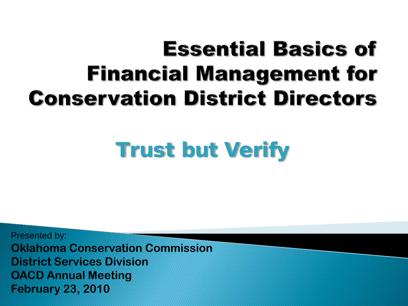## **Essential Basics of Financial Management for Conservation District Directors**

## Trust but Verify

Presented by: **Oklahoma Conservation Commission District Services Division OACD Annual Meeting February 23, 2010**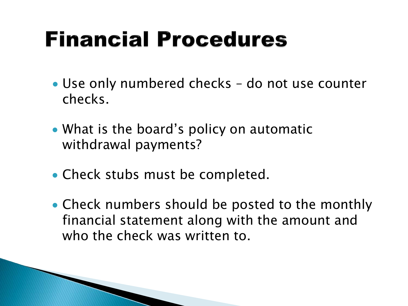- Use only numbered checks do not use counter checks.
- What is the board's policy on automatic withdrawal payments?
- Check stubs must be completed.
- Check numbers should be posted to the monthly financial statement along with the amount and who the check was written to.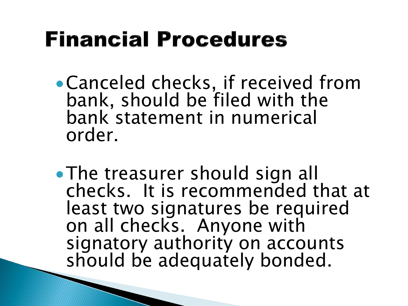- •Canceled checks, if received from bank, should be filed with the bank statement in numerical order.
- •The treasurer should sign all checks. It is recommended that at least two signatures be required on all checks. Anyone with signatory authority on accounts should be adequately bonded.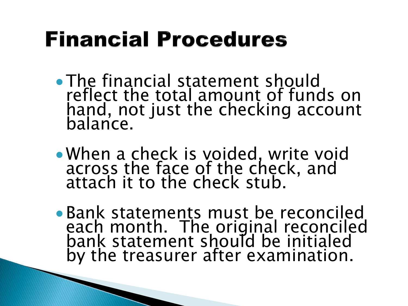- •The financial statement should reflect the total amount of funds on hand, not just the checking account balance.
- •When a check is voided, write void across the face of the check, and attach it to the check stub.
- •Bank statements must be reconciled each month. The original reconciled bank statement should be initialed by the treasurer after examination.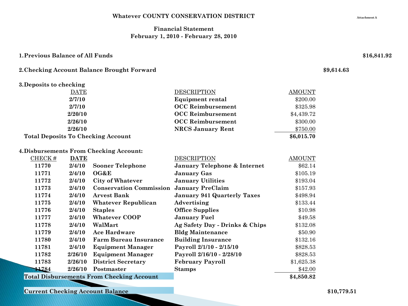#### **Whatever COUNTY CONSERVATION DISTRICT** Attachment A

#### **Financial Statement February 1, 2010 - February 28, 2010**

### **1.Previous Balance of All Funds \$16,841.92**

#### **2.Checking Account Balance Brought Forward \$9,614.63**

| 3. Deposits to checking                   |                          |            |
|-------------------------------------------|--------------------------|------------|
| DATE                                      | <b>DESCRIPTION</b>       | AMOUNT     |
| 2/7/10                                    | <b>Equipment rental</b>  | \$200.00   |
| 2/7/10                                    | <b>OCC</b> Reimbursement | \$325.98   |
| 2/20/10                                   | <b>OCC</b> Reimbursement | \$4,439.72 |
| 2/26/10                                   | <b>OCC</b> Reimbursement | \$300.00   |
| 2/26/10                                   | <b>NRCS January Rent</b> | \$750.00   |
| <b>Total Deposits To Checking Account</b> |                          | \$6,015.70 |

#### **4.Disbursements From Checking Account:**

| CHECK# | <b>DATE</b> |                                                  | <b>DESCRIPTION</b>                 | <b>AMOUNT</b> |
|--------|-------------|--------------------------------------------------|------------------------------------|---------------|
| 11770  | 2/4/10      | <b>Sooner Telephone</b>                          | January Telephone & Internet       | \$62.14       |
| 11771  | 2/4/10      | OG&E                                             | <b>January Gas</b>                 | \$105.19      |
| 11772  | 2/4/10      | <b>City of Whatever</b>                          | <b>January Utilities</b>           | \$193.04      |
| 11773  | 2/4/10      | <b>Conservation Commission</b>                   | <b>January PreClaim</b>            | \$157.93      |
| 11774  | 2/4/10      | <b>Arvest Bank</b>                               | <b>January 941 Quarterly Taxes</b> | \$498.94      |
| 11775  | 2/4/10      | <b>Whatever Republican</b>                       | Advertising                        | \$133.44      |
| 11776  | 2/4/10      | <b>Staples</b>                                   | <b>Office Supplies</b>             | \$10.98       |
| 11777  | 2/4/10      | <b>Whatever COOP</b>                             | <b>January Fuel</b>                | \$49.58       |
| 11778  | 2/4/10      | WalMart                                          | Ag Safety Day - Drinks & Chips     | \$132.08      |
| 11779  | 2/4/10      | <b>Ace Hardware</b>                              | <b>Bldg Maintenance</b>            | \$50.90       |
| 11780  | 2/4/10      | <b>Farm Bureau Insurance</b>                     | <b>Building Insurance</b>          | \$132.16      |
| 11781  | 2/4/10      | <b>Equipment Manager</b>                         | Payroll 2/1/10 - 2/15/10           | \$828.53      |
| 11782  | 2/26/10     | <b>Equipment Manager</b>                         | Payroll 2/16/10 - 2/28/10          | \$828.53      |
| 11783  | 2/26/10     | <b>District Secretary</b>                        | <b>February Payroll</b>            | \$1,625.38    |
| 1784   | 2/26/10     | Postmaster                                       | <b>Stamps</b>                      | \$42.00       |
|        |             | <b>Total Disbursements From Checking Account</b> |                                    | \$4,850.82    |

**Current Checking Account Balance \$10,779.51**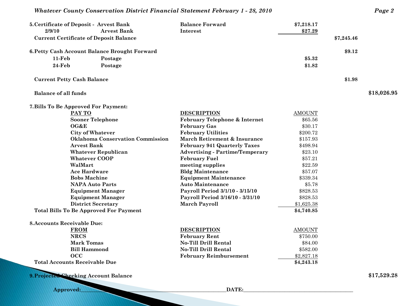#### *Whatever County Conservation District Financial Statement February 1 - 28, 2010 Page 2*

| 5. Certificate of Deposit - Arvest Bank<br>2/9/10 | <b>Arvest Bank</b>                            | <b>Balance Forward</b><br>Interest | \$7,218.17<br>\$27.29 |        |
|---------------------------------------------------|-----------------------------------------------|------------------------------------|-----------------------|--------|
| <b>Current Certificate of Deposit Balance</b>     |                                               |                                    | \$7,245.46            |        |
|                                                   | 6. Petty Cash Account Balance Brought Forward |                                    |                       | \$9.12 |
| $11-Feb$                                          | Postage                                       |                                    | \$5.32                |        |
| $24$ -Feb                                         | Postage                                       |                                    | \$1.82                |        |
| <b>Current Petty Cash Balance</b>                 |                                               |                                    |                       | \$1.98 |

#### **Balance of all funds \$18,026.95**

| <b>7. Bills To Be Approved For Payment:</b>   |                                          |            |
|-----------------------------------------------|------------------------------------------|------------|
| PAY TO                                        | <b>DESCRIPTION</b>                       | AMOUNT     |
| <b>Sooner Telephone</b>                       | <b>February Telephone &amp; Internet</b> | \$65.56    |
| OG&E                                          | <b>February Gas</b>                      | \$30.17    |
| City of Whatever                              | <b>February Utilities</b>                | \$200.72   |
| <b>Oklahoma Conservation Commission</b>       | March Retirement & Insurance             | \$157.93   |
| <b>Arvest Bank</b>                            | <b>February 941 Quarterly Taxes</b>      | \$498.94   |
| <b>Whatever Republican</b>                    | <b>Advertising - Partime/Temperary</b>   | \$23.10    |
| <b>Whatever COOP</b>                          | <b>February Fuel</b>                     | \$57.21    |
| WalMart                                       | meeting supplies                         | \$22.59    |
| <b>Ace Hardware</b>                           | <b>Bldg Maintenance</b>                  | \$57.07    |
| <b>Bobs Machine</b>                           | <b>Equipment Maintenance</b>             | \$339.34   |
| <b>NAPA Auto Parts</b>                        | <b>Auto Maintenance</b>                  | \$5.78     |
| <b>Equipment Manager</b>                      | Payroll Period $3/1/10 - 3/15/10$        | \$828.53   |
| <b>Equipment Manager</b>                      | Payroll Period 3/16/10 - 3/31/10         | \$828.53   |
| <b>District Secretary</b>                     | <b>March Payroll</b>                     | \$1,625.38 |
| <b>Total Bills To Be Approved For Payment</b> |                                          | \$4,740.85 |

#### **8.Accounts Receivable Due: FROM DESCRIPTION DESCRIPTION AMOUNT**<br>**PERIMAGES PERIMAGES PERIMAGES PERIMAGES February Rent**  $$750.00$ **Mark Tomas No-Till Drill Rental** \$84.00 **Bill Hammond No-Till Drill Rental** \$582.00 **February Reimbursement** \$2,827.18 **Total Accounts Receivable Due \$4,243.18**

**9.Projected Checking Account Balance \$17,529.28**

**Approved:\_\_\_\_\_\_\_\_\_\_\_\_\_\_\_\_\_\_\_\_\_\_\_\_\_\_\_\_\_\_\_\_\_\_\_\_\_\_\_\_\_\_\_\_\_\_\_\_\_\_\_\_\_\_\_\_\_DATE:\_\_\_\_\_\_\_\_\_\_\_\_\_\_\_\_\_\_\_\_\_\_\_\_\_\_\_\_\_\_\_\_\_\_\_\_\_\_\_\_\_\_\_**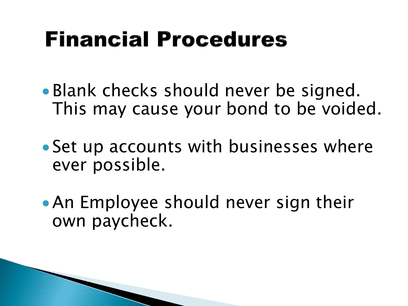- •Blank checks should never be signed. This may cause your bond to be voided.
- Set up accounts with businesses where ever possible.
- An Employee should never sign their own paycheck.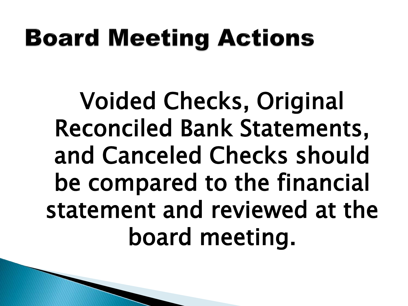## **Board Meeting Actions**

Voided Checks, Original Reconciled Bank Statements, and Canceled Checks should be compared to the financial statement and reviewed at the board meeting.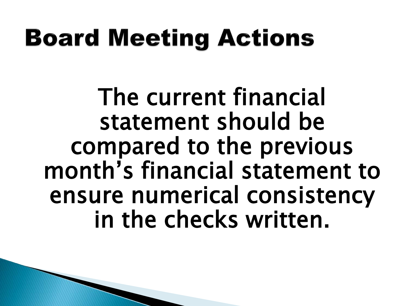## **Board Meeting Actions**

The current financial statement should be compared to the previous month's financial statement to ensure numerical consistency in the checks written.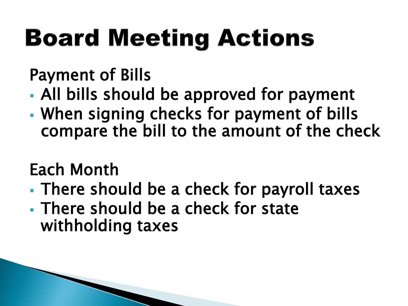## **Board Meeting Actions**

### Payment of Bills

- All bills should be approved for payment
- When signing checks for payment of bills compare the bill to the amount of the check

### Each Month

- There should be a check for payroll taxes
- There should be a check for state withholding taxes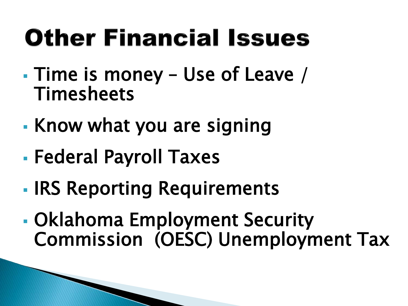## **Other Financial Issues**

- Time is money Use of Leave / Timesheets
- **Know what you are signing**
- Federal Payroll Taxes
- **IRS Reporting Requirements**
- Oklahoma Employment Security Commission (OESC) Unemployment Tax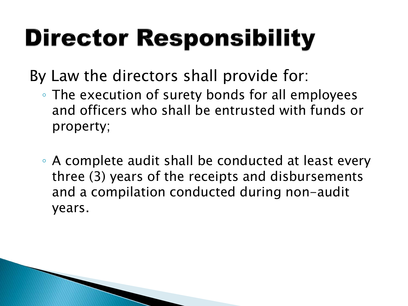## **Director Responsibility**

By Law the directors shall provide for:

- The execution of surety bonds for all employees and officers who shall be entrusted with funds or property;
- A complete audit shall be conducted at least every three (3) years of the receipts and disbursements and a compilation conducted during non-audit years.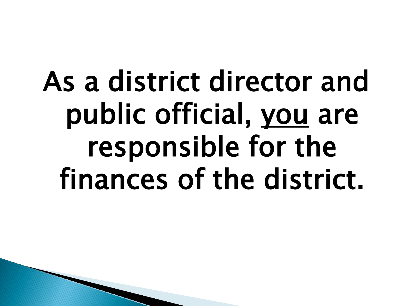# As a district director and public official, you are responsible for the finances of the district.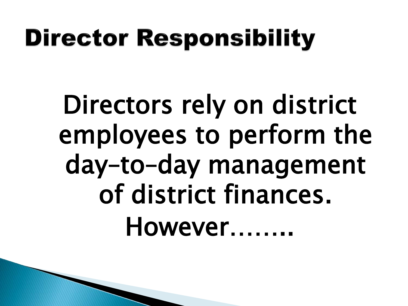## **Director Responsibility**

Directors rely on district employees to perform the day–to–day management of district finances. However……..